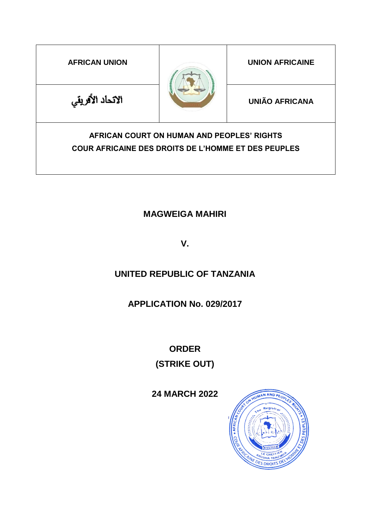| <b>AFRICAN UNION</b>                                                                                     |  | <b>UNION AFRICAINE</b> |
|----------------------------------------------------------------------------------------------------------|--|------------------------|
| الاتحاد الأفريقي                                                                                         |  | <b>UNIÃO AFRICANA</b>  |
| AFRICAN COURT ON HUMAN AND PEOPLES' RIGHTS<br><b>COUR AFRICAINE DES DROITS DE L'HOMME ET DES PEUPLES</b> |  |                        |

# **MAGWEIGA MAHIRI**

**V.** 

# **UNITED REPUBLIC OF TANZANIA**

# **APPLICATION No. 029/2017**

**ORDER (STRIKE OUT)**

**24 MARCH 2022**

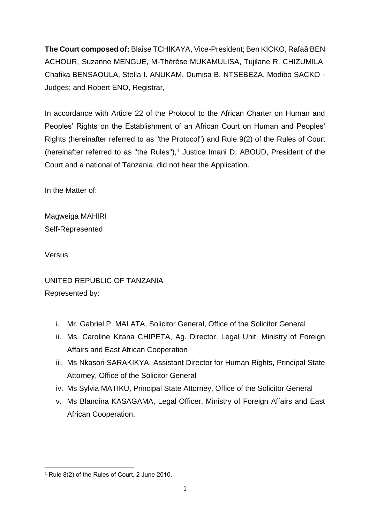**The Court composed of:** Blaise TCHIKAYA, Vice-President; Ben KIOKO, Rafaâ BEN ACHOUR, Suzanne MENGUE, M-Thérèse MUKAMULISA, Tujilane R. CHIZUMILA, Chafika BENSAOULA, Stella I. ANUKAM, Dumisa B. NTSEBEZA, Modibo SACKO - Judges; and Robert ENO, Registrar,

In accordance with Article 22 of the Protocol to the African Charter on Human and Peoples' Rights on the Establishment of an African Court on Human and Peoples' Rights (hereinafter referred to as "the Protocol") and Rule 9(2) of the Rules of Court (hereinafter referred to as "the Rules"), $<sup>1</sup>$  Justice Imani D. ABOUD, President of the</sup> Court and a national of Tanzania, did not hear the Application.

In the Matter of:

Magweiga MAHIRI Self-Represented

Versus

## UNITED REPUBLIC OF TANZANIA Represented by:

- i. Mr. Gabriel P. MALATA, Solicitor General, Office of the Solicitor General
- ii. Ms. Caroline Kitana CHIPETA, Ag. Director, Legal Unit, Ministry of Foreign Affairs and East African Cooperation
- iii. Ms Nkasori SARAKIKYA, Assistant Director for Human Rights, Principal State Attorney, Office of the Solicitor General
- iv. Ms Sylvia MATIKU, Principal State Attorney, Office of the Solicitor General
- v. Ms Blandina KASAGAMA, Legal Officer, Ministry of Foreign Affairs and East African Cooperation.

**<sup>.</sup>** <sup>1</sup> Rule 8(2) of the Rules of Court, 2 June 2010.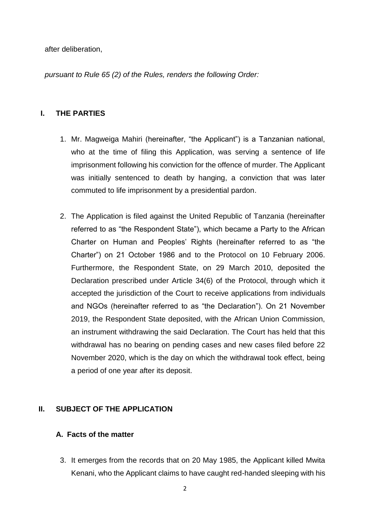after deliberation,

*pursuant to Rule 65 (2) of the Rules, renders the following Order:*

### **I. THE PARTIES**

- 1. Mr. Magweiga Mahiri (hereinafter, "the Applicant") is a Tanzanian national, who at the time of filing this Application, was serving a sentence of life imprisonment following his conviction for the offence of murder. The Applicant was initially sentenced to death by hanging, a conviction that was later commuted to life imprisonment by a presidential pardon.
- 2. The Application is filed against the United Republic of Tanzania (hereinafter referred to as "the Respondent State"), which became a Party to the African Charter on Human and Peoples' Rights (hereinafter referred to as "the Charter") on 21 October 1986 and to the Protocol on 10 February 2006. Furthermore, the Respondent State, on 29 March 2010, deposited the Declaration prescribed under Article 34(6) of the Protocol, through which it accepted the jurisdiction of the Court to receive applications from individuals and NGOs (hereinafter referred to as "the Declaration"). On 21 November 2019, the Respondent State deposited, with the African Union Commission, an instrument withdrawing the said Declaration. The Court has held that this withdrawal has no bearing on pending cases and new cases filed before 22 November 2020, which is the day on which the withdrawal took effect, being a period of one year after its deposit.

### **II. SUBJECT OF THE APPLICATION**

### **A. Facts of the matter**

3. It emerges from the records that on 20 May 1985, the Applicant killed Mwita Kenani, who the Applicant claims to have caught red-handed sleeping with his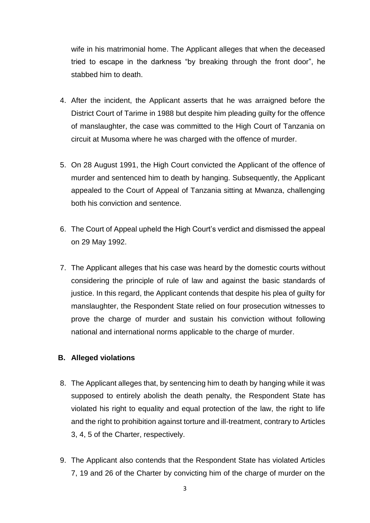wife in his matrimonial home. The Applicant alleges that when the deceased tried to escape in the darkness "by breaking through the front door", he stabbed him to death.

- 4. After the incident, the Applicant asserts that he was arraigned before the District Court of Tarime in 1988 but despite him pleading guilty for the offence of manslaughter, the case was committed to the High Court of Tanzania on circuit at Musoma where he was charged with the offence of murder.
- 5. On 28 August 1991, the High Court convicted the Applicant of the offence of murder and sentenced him to death by hanging. Subsequently, the Applicant appealed to the Court of Appeal of Tanzania sitting at Mwanza, challenging both his conviction and sentence.
- 6. The Court of Appeal upheld the High Court's verdict and dismissed the appeal on 29 May 1992.
- 7. The Applicant alleges that his case was heard by the domestic courts without considering the principle of rule of law and against the basic standards of justice. In this regard, the Applicant contends that despite his plea of guilty for manslaughter, the Respondent State relied on four prosecution witnesses to prove the charge of murder and sustain his conviction without following national and international norms applicable to the charge of murder.

### **B. Alleged violations**

- 8. The Applicant alleges that, by sentencing him to death by hanging while it was supposed to entirely abolish the death penalty, the Respondent State has violated his right to equality and equal protection of the law, the right to life and the right to prohibition against torture and ill-treatment, contrary to Articles 3, 4, 5 of the Charter, respectively.
- 9. The Applicant also contends that the Respondent State has violated Articles 7, 19 and 26 of the Charter by convicting him of the charge of murder on the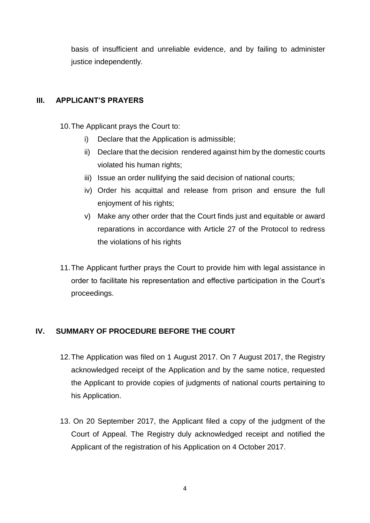basis of insufficient and unreliable evidence, and by failing to administer justice independently.

## **III. APPLICANT'S PRAYERS**

10.The Applicant prays the Court to:

- i) Declare that the Application is admissible;
- ii) Declare that the decision rendered against him by the domestic courts violated his human rights;
- iii) Issue an order nullifying the said decision of national courts;
- iv) Order his acquittal and release from prison and ensure the full enjoyment of his rights;
- v) Make any other order that the Court finds just and equitable or award reparations in accordance with Article 27 of the Protocol to redress the violations of his rights
- 11.The Applicant further prays the Court to provide him with legal assistance in order to facilitate his representation and effective participation in the Court's proceedings.

## **IV. SUMMARY OF PROCEDURE BEFORE THE COURT**

- 12.The Application was filed on 1 August 2017. On 7 August 2017, the Registry acknowledged receipt of the Application and by the same notice, requested the Applicant to provide copies of judgments of national courts pertaining to his Application.
- 13. On 20 September 2017, the Applicant filed a copy of the judgment of the Court of Appeal. The Registry duly acknowledged receipt and notified the Applicant of the registration of his Application on 4 October 2017.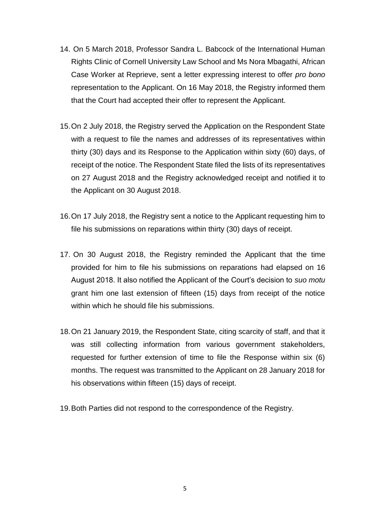- 14. On 5 March 2018, Professor Sandra L. Babcock of the International Human Rights Clinic of Cornell University Law School and Ms Nora Mbagathi, African Case Worker at Reprieve, sent a letter expressing interest to offer *pro bono* representation to the Applicant. On 16 May 2018, the Registry informed them that the Court had accepted their offer to represent the Applicant.
- 15.On 2 July 2018, the Registry served the Application on the Respondent State with a request to file the names and addresses of its representatives within thirty (30) days and its Response to the Application within sixty (60) days, of receipt of the notice. The Respondent State filed the lists of its representatives on 27 August 2018 and the Registry acknowledged receipt and notified it to the Applicant on 30 August 2018.
- 16.On 17 July 2018, the Registry sent a notice to the Applicant requesting him to file his submissions on reparations within thirty (30) days of receipt.
- 17. On 30 August 2018, the Registry reminded the Applicant that the time provided for him to file his submissions on reparations had elapsed on 16 August 2018. It also notified the Applicant of the Court's decision to *suo motu* grant him one last extension of fifteen (15) days from receipt of the notice within which he should file his submissions.
- 18.On 21 January 2019, the Respondent State, citing scarcity of staff, and that it was still collecting information from various government stakeholders, requested for further extension of time to file the Response within six (6) months. The request was transmitted to the Applicant on 28 January 2018 for his observations within fifteen (15) days of receipt.
- 19.Both Parties did not respond to the correspondence of the Registry.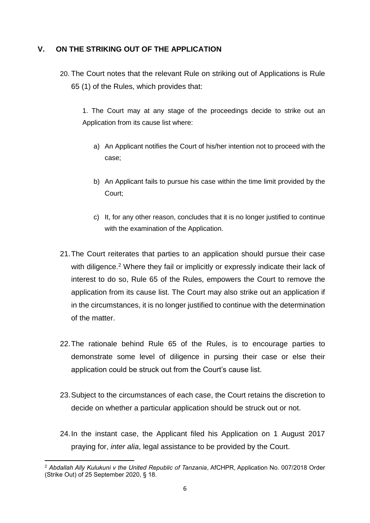### **V. ON THE STRIKING OUT OF THE APPLICATION**

20. The Court notes that the relevant Rule on striking out of Applications is Rule 65 (1) of the Rules, which provides that:

1. The Court may at any stage of the proceedings decide to strike out an Application from its cause list where:

- a) An Applicant notifies the Court of his/her intention not to proceed with the case;
- b) An Applicant fails to pursue his case within the time limit provided by the Court;
- c) It, for any other reason, concludes that it is no longer justified to continue with the examination of the Application.
- 21.The Court reiterates that parties to an application should pursue their case with diligence.<sup>2</sup> Where they fail or implicitly or expressly indicate their lack of interest to do so, Rule 65 of the Rules, empowers the Court to remove the application from its cause list. The Court may also strike out an application if in the circumstances, it is no longer justified to continue with the determination of the matter.
- 22.The rationale behind Rule 65 of the Rules, is to encourage parties to demonstrate some level of diligence in pursing their case or else their application could be struck out from the Court's cause list.
- 23.Subject to the circumstances of each case, the Court retains the discretion to decide on whether a particular application should be struck out or not.
- 24.In the instant case, the Applicant filed his Application on 1 August 2017 praying for, *inter alia*, legal assistance to be provided by the Court.

**<sup>.</sup>** <sup>2</sup> *Abdallah Ally Kulukuni v the United Republic of Tanzania*, AfCHPR, Application No. 007/2018 Order (Strike Out) of 25 September 2020, § 18.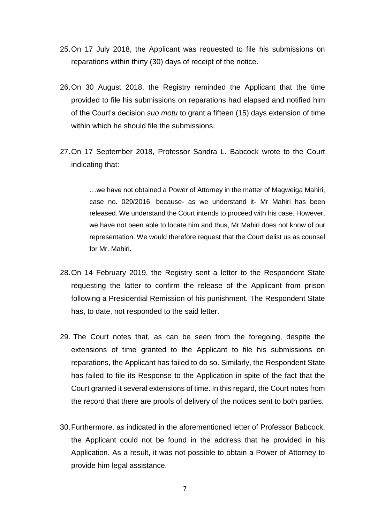- 25.On 17 July 2018, the Applicant was requested to file his submissions on reparations within thirty (30) days of receipt of the notice.
- 26.On 30 August 2018, the Registry reminded the Applicant that the time provided to file his submissions on reparations had elapsed and notified him of the Court's decision *suo motu* to grant a fifteen (15) days extension of time within which he should file the submissions.
- 27.On 17 September 2018, Professor Sandra L. Babcock wrote to the Court indicating that:

…we have not obtained a Power of Attorney in the matter of Magweiga Mahiri, case no. 029/2016, because- as we understand it- Mr Mahiri has been released. We understand the Court intends to proceed with his case. However, we have not been able to locate him and thus, Mr Mahiri does not know of our representation. We would therefore request that the Court delist us as counsel for Mr. Mahiri.

- 28.On 14 February 2019, the Registry sent a letter to the Respondent State requesting the latter to confirm the release of the Applicant from prison following a Presidential Remission of his punishment. The Respondent State has, to date, not responded to the said letter.
- 29. The Court notes that, as can be seen from the foregoing, despite the extensions of time granted to the Applicant to file his submissions on reparations, the Applicant has failed to do so. Similarly, the Respondent State has failed to file its Response to the Application in spite of the fact that the Court granted it several extensions of time. In this regard, the Court notes from the record that there are proofs of delivery of the notices sent to both parties.
- 30.Furthermore, as indicated in the aforementioned letter of Professor Babcock, the Applicant could not be found in the address that he provided in his Application. As a result, it was not possible to obtain a Power of Attorney to provide him legal assistance.